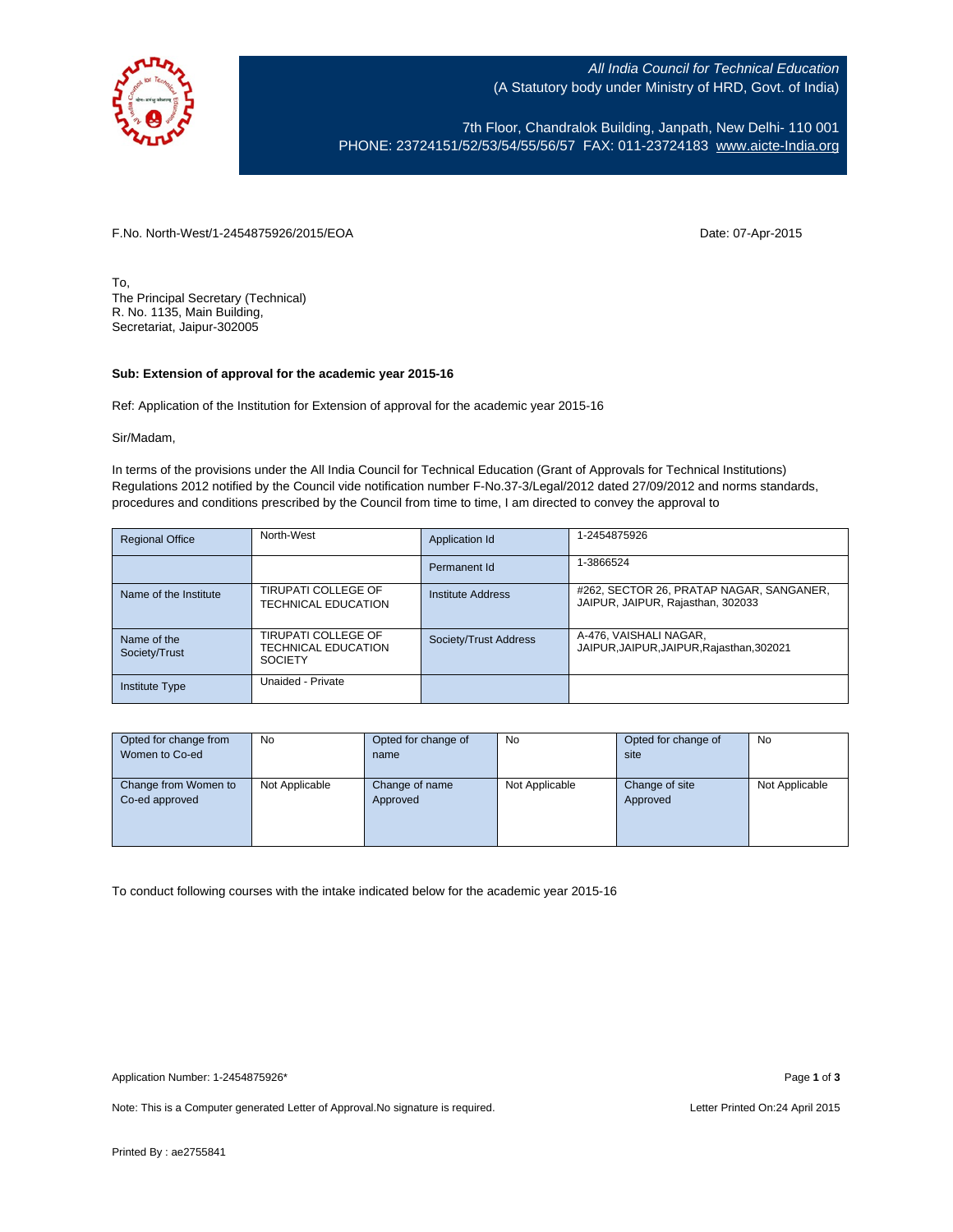

All India Council for Technical Education (A Statutory body under Ministry of HRD, Govt. of India)

7th Floor, Chandralok Building, Janpath, New Delhi- 110 001 PHONE: 23724151/52/53/54/55/56/57 FAX: 011-23724183 [www.aicte-India.org](http://www.aicte-india.org/)

F.No. North-West/1-2454875926/2015/EOA Date: 07-Apr-2015

To, The Principal Secretary (Technical) R. No. 1135, Main Building, Secretariat, Jaipur-302005

## **Sub: Extension of approval for the academic year 2015-16**

Ref: Application of the Institution for Extension of approval for the academic year 2015-16

Sir/Madam,

In terms of the provisions under the All India Council for Technical Education (Grant of Approvals for Technical Institutions) Regulations 2012 notified by the Council vide notification number F-No.37-3/Legal/2012 dated 27/09/2012 and norms standards, procedures and conditions prescribed by the Council from time to time, I am directed to convey the approval to

| <b>Regional Office</b>       | North-West                                                          | Application Id        | 1-2454875926                                                                  |
|------------------------------|---------------------------------------------------------------------|-----------------------|-------------------------------------------------------------------------------|
|                              |                                                                     | Permanent Id          | 1-3866524                                                                     |
| Name of the Institute        | <b>TIRUPATI COLLEGE OF</b><br><b>TECHNICAL EDUCATION</b>            | Institute Address     | #262, SECTOR 26, PRATAP NAGAR, SANGANER,<br>JAIPUR, JAIPUR, Rajasthan, 302033 |
| Name of the<br>Society/Trust | TIRUPATI COLLEGE OF<br><b>TECHNICAL EDUCATION</b><br><b>SOCIETY</b> | Society/Trust Address | A-476, VAISHALI NAGAR,<br>JAIPUR, JAIPUR, JAIPUR, Rajasthan, 302021           |
| <b>Institute Type</b>        | Unaided - Private                                                   |                       |                                                                               |

| Opted for change from | <b>No</b>      | Opted for change of | No             | Opted for change of | No             |
|-----------------------|----------------|---------------------|----------------|---------------------|----------------|
| Women to Co-ed        |                | name                |                | site                |                |
|                       |                |                     |                |                     |                |
| Change from Women to  | Not Applicable | Change of name      | Not Applicable | Change of site      | Not Applicable |
| Co-ed approved        |                | Approved            |                | Approved            |                |
|                       |                |                     |                |                     |                |
|                       |                |                     |                |                     |                |
|                       |                |                     |                |                     |                |

To conduct following courses with the intake indicated below for the academic year 2015-16

Note: This is a Computer generated Letter of Approval. No signature is required. Letter Printed On:24 April 2015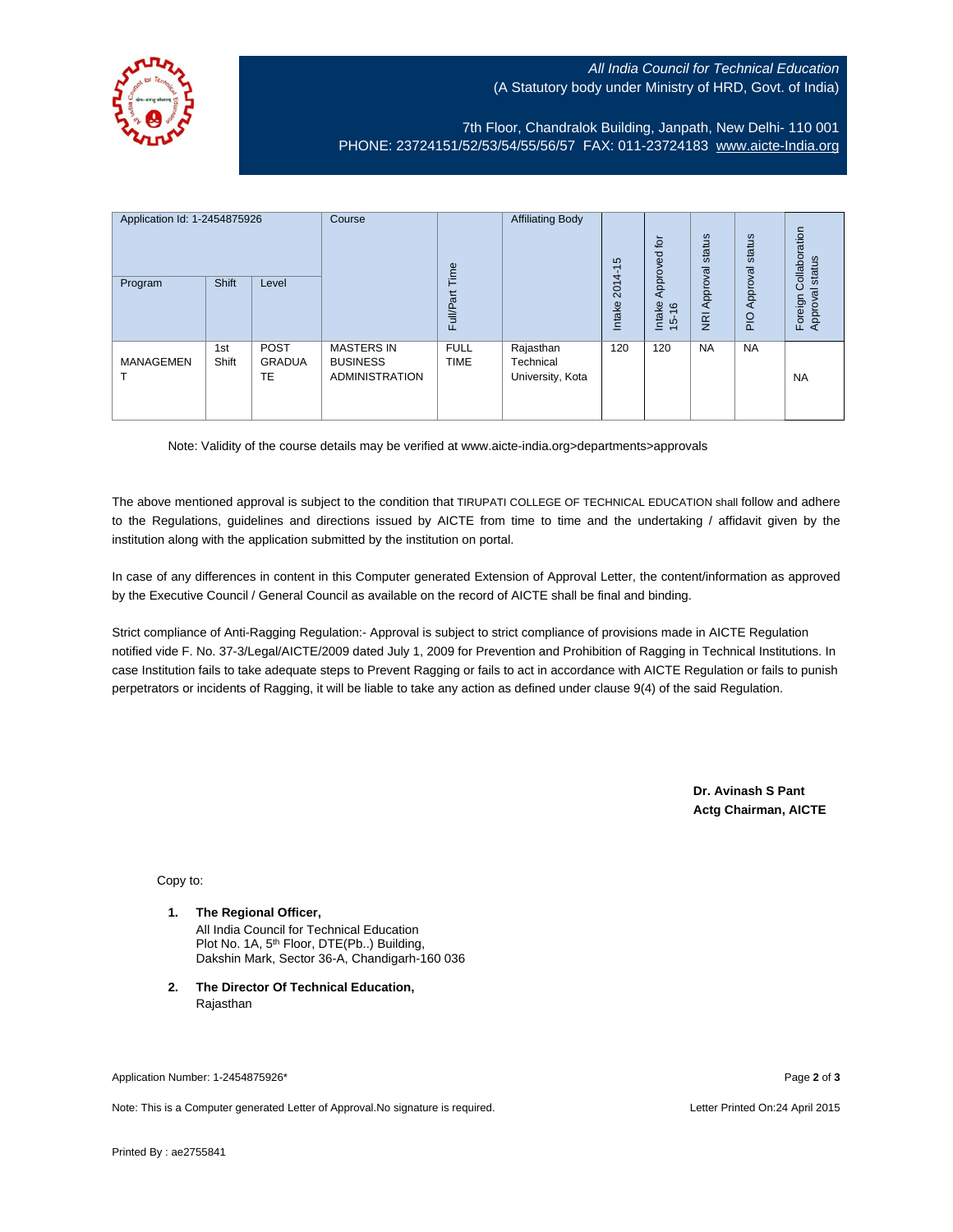## All India Council for Technical Education (A Statutory body under Ministry of HRD, Govt. of India)



7th Floor, Chandralok Building, Janpath, New Delhi- 110 001 PHONE: 23724151/52/53/54/55/56/57 FAX: 011-23724183 [www.aicte-India.org](http://www.aicte-india.org/)

| Application Id: 1-2454875926<br>Program | Shift        | Level                       | Course                                                        | Time<br><b>Full/Part</b>   | <b>Affiliating Body</b>                    | S<br>ᡪ<br>$2014 -$<br>Intake | 흐<br>Approved<br>Intake<br>$\frac{6}{2}$<br>$\frac{1}{2}$ | status<br>Approval<br>$\overline{g}$ | status<br>Approval<br>$\frac{1}{2}$ | ollaboration<br>status<br>Ö<br>Approval<br>Foreign |
|-----------------------------------------|--------------|-----------------------------|---------------------------------------------------------------|----------------------------|--------------------------------------------|------------------------------|-----------------------------------------------------------|--------------------------------------|-------------------------------------|----------------------------------------------------|
| <b>MANAGEMEN</b>                        | 1st<br>Shift | <b>POST</b><br>GRADUA<br>TE | <b>MASTERS IN</b><br><b>BUSINESS</b><br><b>ADMINISTRATION</b> | <b>FULL</b><br><b>TIME</b> | Rajasthan<br>Technical<br>University, Kota | 120                          | 120                                                       | <b>NA</b>                            | <b>NA</b>                           | <b>NA</b>                                          |

Note: Validity of the course details may be verified at www.aicte-india.org>departments>approvals

The above mentioned approval is subject to the condition that TIRUPATI COLLEGE OF TECHNICAL EDUCATION shall follow and adhere to the Regulations, guidelines and directions issued by AICTE from time to time and the undertaking / affidavit given by the institution along with the application submitted by the institution on portal.

In case of any differences in content in this Computer generated Extension of Approval Letter, the content/information as approved by the Executive Council / General Council as available on the record of AICTE shall be final and binding.

Strict compliance of Anti-Ragging Regulation:- Approval is subject to strict compliance of provisions made in AICTE Regulation notified vide F. No. 37-3/Legal/AICTE/2009 dated July 1, 2009 for Prevention and Prohibition of Ragging in Technical Institutions. In case Institution fails to take adequate steps to Prevent Ragging or fails to act in accordance with AICTE Regulation or fails to punish perpetrators or incidents of Ragging, it will be liable to take any action as defined under clause 9(4) of the said Regulation.

> **Dr. Avinash S Pant Actg Chairman, AICTE**

Copy to:

- **1. The Regional Officer,** All India Council for Technical Education Plot No. 1A, 5<sup>th</sup> Floor, DTE(Pb..) Building, Dakshin Mark, Sector 36-A, Chandigarh-160 036
- **2. The Director Of Technical Education,** Rajasthan

Application Number: 1-2454875926\* Page **2** of **3**

Note: This is a Computer generated Letter of Approval.No signature is required. Letter According the state of Approval.No signature is required.